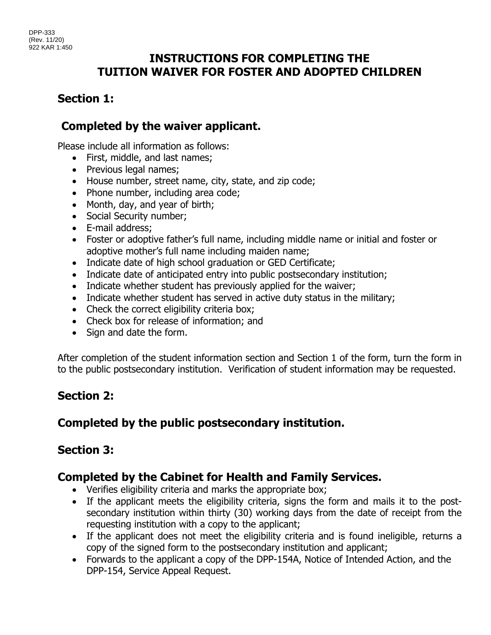## **INSTRUCTIONS FOR COMPLETING THE TUITION WAIVER FOR FOSTER AND ADOPTED CHILDREN**

# **Section 1:**

# **Completed by the waiver applicant.**

Please include all information as follows:

- First, middle, and last names;
- Previous legal names;
- House number, street name, city, state, and zip code;
- Phone number, including area code;
- Month, day, and year of birth;
- Social Security number;
- E-mail address;
- Foster or adoptive father's full name, including middle name or initial and foster or adoptive mother's full name including maiden name;
- Indicate date of high school graduation or GED Certificate;
- Indicate date of anticipated entry into public postsecondary institution;
- Indicate whether student has previously applied for the waiver;
- Indicate whether student has served in active duty status in the military;
- Check the correct eligibility criteria box;
- Check box for release of information; and
- Sign and date the form.

After completion of the student information section and Section 1 of the form, turn the form in to the public postsecondary institution. Verification of student information may be requested.

## **Section 2:**

## **Completed by the public postsecondary institution.**

## **Section 3:**

## **Completed by the Cabinet for Health and Family Services.**

- Verifies eligibility criteria and marks the appropriate box;
- If the applicant meets the eligibility criteria, signs the form and mails it to the postsecondary institution within thirty (30) working days from the date of receipt from the requesting institution with a copy to the applicant;
- If the applicant does not meet the eligibility criteria and is found ineligible, returns a copy of the signed form to the postsecondary institution and applicant;
- Forwards to the applicant a copy of the DPP-154A, Notice of Intended Action, and the DPP-154, Service Appeal Request.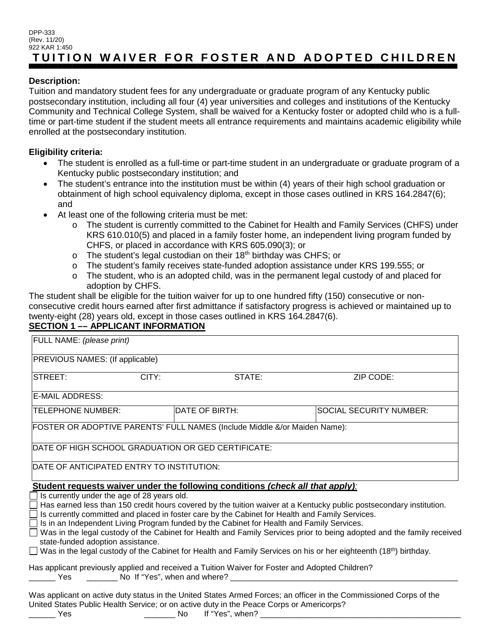#### DPP-333 (Rev. 11/20) 922 KAR 1:450 **TUITION WAIVER FOR FOSTER AND ADOPTED CHILDREN**

### **Description:**

Tuition and mandatory student fees for any undergraduate or graduate program of any Kentucky public postsecondary institution, including all four (4) year universities and colleges and institutions of the Kentucky Community and Technical College System, shall be waived for a Kentucky foster or adopted child who is a fulltime or part-time student if the student meets all entrance requirements and maintains academic eligibility while enrolled at the postsecondary institution.

### **Eligibility criteria:**

- The student is enrolled as a full-time or part-time student in an undergraduate or graduate program of a Kentucky public postsecondary institution; and
- The student's entrance into the institution must be within (4) years of their high school graduation or obtainment of high school equivalency diploma, except in those cases outlined in KRS 164.2847(6); and
- At least one of the following criteria must be met:
	- o The student is currently committed to the Cabinet for Health and Family Services (CHFS) under KRS 610.010(5) and placed in a family foster home, an independent living program funded by CHFS, or placed in accordance with KRS 605.090(3); or
	- $\circ$  The student's legal custodian on their 18<sup>th</sup> birthday was CHFS; or
	- o The student's family receives state-funded adoption assistance under KRS 199.555; or
	- $\circ$  The student, who is an adopted child, was in the permanent legal custody of and placed for adoption by CHFS.

The student shall be eligible for the tuition waiver for up to one hundred fifty (150) consecutive or nonconsecutive credit hours earned after first admittance if satisfactory progress is achieved or maintained up to twenty-eight (28) years old, except in those cases outlined in KRS 164.2847(6).

### **SECTION 1 –– APPLICANT INFORMATION**

| FULL NAME: (please print)                                                                                                                                                                                      |       |                |                                |
|----------------------------------------------------------------------------------------------------------------------------------------------------------------------------------------------------------------|-------|----------------|--------------------------------|
| PREVIOUS NAMES: (If applicable)                                                                                                                                                                                |       |                |                                |
| <b>STREET:</b>                                                                                                                                                                                                 | CITY: | STATE:         | ZIP CODE:                      |
| <b>E-MAIL ADDRESS:</b>                                                                                                                                                                                         |       |                |                                |
| TELEPHONE NUMBER:                                                                                                                                                                                              |       | DATE OF BIRTH: | <b>SOCIAL SECURITY NUMBER:</b> |
| FOSTER OR ADOPTIVE PARENTS' FULL NAMES (Include Middle &/or Maiden Name):                                                                                                                                      |       |                |                                |
| DATE OF HIGH SCHOOL GRADUATION OR GED CERTIFICATE:                                                                                                                                                             |       |                |                                |
| DATE OF ANTICIPATED ENTRY TO INSTITUTION:                                                                                                                                                                      |       |                |                                |
| Student requests waiver under the following conditions (check all that apply):                                                                                                                                 |       |                |                                |
| Is currently under the age of 28 years old.<br>Has earned less than 150 credit hours covered by the tuition waiver at a Kentucky public postsecondary institution.                                             |       |                |                                |
| Is currently committed and placed in foster care by the Cabinet for Health and Family Services.                                                                                                                |       |                |                                |
| Is in an Independent Living Program funded by the Cabinet for Health and Family Services.<br>$\sim$                                                                                                            |       |                |                                |
| Was in the legal custody of the Cabinet for Health and Family Services prior to being adopted and the family received<br>$\Box$                                                                                |       |                |                                |
| state-funded adoption assistance.                                                                                                                                                                              |       |                |                                |
| Was in the legal custody of the Cabinet for Health and Family Services on his or her eighteenth (18 <sup>th</sup> ) birthday.                                                                                  |       |                |                                |
| Has applicant previously applied and received a Tuition Waiver for Foster and Adopted Children?                                                                                                                |       |                |                                |
| Was applicant on active duty status in the United States Armed Forces; an officer in the Commissioned Corps of the<br>United States Public Health Service; or on active duty in the Peace Corps or Americorps? |       |                |                                |

\_\_\_\_\_\_ Yes \_\_\_\_\_\_\_ No If "Yes", when? \_\_\_\_\_\_\_\_\_\_\_\_\_\_\_\_\_\_\_\_\_\_\_\_\_\_\_\_\_\_\_\_\_\_\_\_\_\_\_\_\_\_\_\_\_